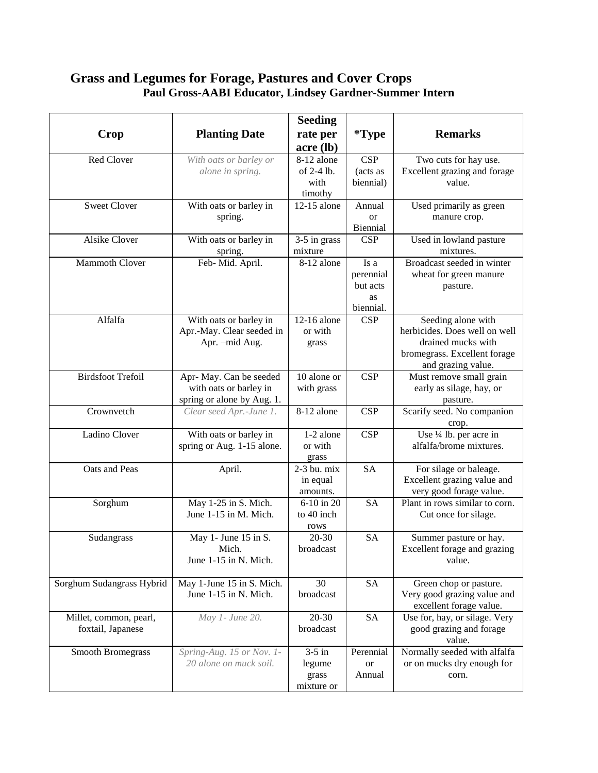## **Grass and Legumes for Forage, Pastures and Cover Crops Paul Gross-AABI Educator, Lindsey Gardner-Summer Intern**

|                           |                            | <b>Seeding</b>         |                 |                                     |
|---------------------------|----------------------------|------------------------|-----------------|-------------------------------------|
| Crop                      | <b>Planting Date</b>       | rate per               | *Type           | <b>Remarks</b>                      |
|                           |                            | acre (lb)              |                 |                                     |
| Red Clover                | With oats or barley or     | 8-12 alone             | CSP             | Two cuts for hay use.               |
|                           | alone in spring.           | of 2-4 lb.             | (acts as        | Excellent grazing and forage        |
|                           |                            | with                   | biennial)       | value.                              |
|                           |                            | timothy                |                 |                                     |
| <b>Sweet Clover</b>       | With oats or barley in     | 12-15 alone            | Annual          | Used primarily as green             |
|                           | spring.                    |                        | <b>or</b>       | manure crop.                        |
|                           |                            |                        | Biennial        |                                     |
| <b>Alsike Clover</b>      | With oats or barley in     | 3-5 in grass           | <b>CSP</b>      | Used in lowland pasture             |
|                           | spring.                    | mixture                |                 | mixtures.                           |
| <b>Mammoth Clover</b>     | Feb- Mid. April.           | 8-12 alone             | Is a            | Broadcast seeded in winter          |
|                           |                            |                        | perennial       | wheat for green manure              |
|                           |                            |                        | but acts        | pasture.                            |
|                           |                            |                        | as<br>biennial. |                                     |
| Alfalfa                   | With oats or barley in     | 12-16 alone            | <b>CSP</b>      | Seeding alone with                  |
|                           | Apr.-May. Clear seeded in  | or with                |                 | herbicides. Does well on well       |
|                           | Apr. - mid Aug.            | grass                  |                 | drained mucks with                  |
|                           |                            |                        |                 | bromegrass. Excellent forage        |
|                           |                            |                        |                 | and grazing value.                  |
| <b>Birdsfoot Trefoil</b>  | Apr- May. Can be seeded    | 10 alone or            | <b>CSP</b>      | Must remove small grain             |
|                           | with oats or barley in     | with grass             |                 | early as silage, hay, or            |
|                           | spring or alone by Aug. 1. |                        |                 | pasture.                            |
| Crownvetch                | Clear seed Apr.-June 1.    | 8-12 alone             | <b>CSP</b>      | Scarify seed. No companion<br>crop. |
| Ladino Clover             | With oats or barley in     | $\overline{1-2}$ alone | <b>CSP</b>      | Use 1/4 lb. per acre in             |
|                           | spring or Aug. 1-15 alone. | or with                |                 | alfalfa/brome mixtures.             |
|                           |                            | grass                  |                 |                                     |
| Oats and Peas             | April.                     | 2-3 bu. mix            | <b>SA</b>       | For silage or baleage.              |
|                           |                            | in equal               |                 | Excellent grazing value and         |
|                           |                            | amounts.               |                 | very good forage value.             |
| Sorghum                   | May 1-25 in S. Mich.       | 6-10 in 20             | <b>SA</b>       | Plant in rows similar to corn.      |
|                           | June 1-15 in M. Mich.      | to 40 inch             |                 | Cut once for silage.                |
|                           |                            | rows                   |                 |                                     |
| Sudangrass                | May 1- June 15 in S.       | 20-30                  | <b>SA</b>       | Summer pasture or hay.              |
|                           | Mich.                      | broadcast              |                 | Excellent forage and grazing        |
|                           | June 1-15 in N. Mich.      |                        |                 | value.                              |
| Sorghum Sudangrass Hybrid | May 1-June 15 in S. Mich.  | 30                     | <b>SA</b>       | Green chop or pasture.              |
|                           | June 1-15 in N. Mich.      | broadcast              |                 | Very good grazing value and         |
|                           |                            |                        |                 | excellent forage value.             |
| Millet, common, pearl,    | May 1- June 20.            | $20 - 30$              | <b>SA</b>       | Use for, hay, or silage. Very       |
| foxtail, Japanese         |                            | broadcast              |                 | good grazing and forage             |
|                           |                            |                        |                 | value.                              |
| <b>Smooth Bromegrass</b>  | Spring-Aug. 15 or Nov. 1-  | $3-5$ in               | Perennial       | Normally seeded with alfalfa        |
|                           | 20 alone on muck soil.     | legume                 | <b>or</b>       | or on mucks dry enough for          |
|                           |                            | grass                  | Annual          | corn.                               |
|                           |                            | mixture or             |                 |                                     |